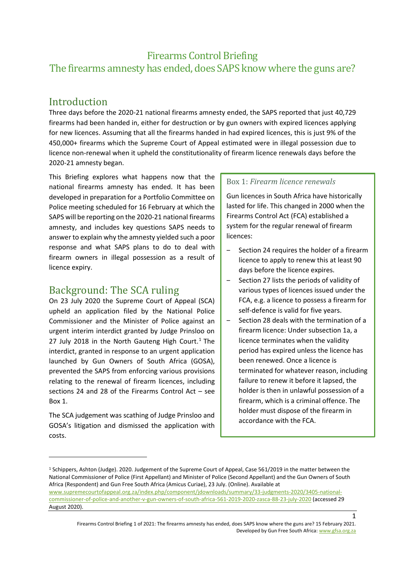# Firearms Control Briefing The firearms amnesty has ended, does SAPS know where the guns are?

# **Introduction**

Three days before the 2020-21 national firearms amnesty ended, the SAPS reported that just 40,729 firearms had been handed in, either for destruction or by gun owners with expired licences applying for new licences. Assuming that all the firearms handed in had expired licences, this is just 9% of the 450,000+ firearms which the Supreme Court of Appeal estimated were in illegal possession due to licence non-renewal when it upheld the constitutionality of firearm licence renewals days before the 2020-21 amnesty began.

This Briefing explores what happens now that the national firearms amnesty has ended. It has been developed in preparation for a Portfolio Committee on Police meeting scheduled for 16 February at which the SAPS will be reporting on the 2020-21 national firearms amnesty, and includes key questions SAPS needs to answer to explain why the amnesty yielded such a poor response and what SAPS plans to do to deal with firearm owners in illegal possession as a result of licence expiry.

# Background: The SCA ruling

On 23 July 2020 the Supreme Court of Appeal (SCA) upheld an application filed by the National Police Commissioner and the Minister of Police against an urgent interim interdict granted by Judge Prinsloo on 27 July 2018 in the North Gauteng High Court.<sup>1</sup> The interdict, granted in response to an urgent application launched by Gun Owners of South Africa (GOSA), prevented the SAPS from enforcing various provisions relating to the renewal of firearm licences, including sections 24 and 28 of the Firearms Control Act – see Box 1.

The SCA judgement was scathing of Judge Prinsloo and GOSA's litigation and dismissed the application with costs.

### Box 1: *Firearm licence renewals*

Gun licences in South Africa have historically lasted for life. This changed in 2000 when the Firearms Control Act (FCA) established a system for the regular renewal of firearm licences:

- Section 24 requires the holder of a firearm licence to apply to renew this at least 90 days before the licence expires.
- ‒ Section 27 lists the periods of validity of various types of licences issued under the FCA, e.g. a licence to possess a firearm for self-defence is valid for five years.
- Section 28 deals with the termination of a firearm licence: Under subsection 1a, a licence terminates when the validity period has expired unless the licence has been renewed. Once a licence is terminated for whatever reason, including failure to renew it before it lapsed, the holder is then in unlawful possession of a firearm, which is a criminal offence. The holder must dispose of the firearm in accordance with the FCA.

<sup>1</sup> Schippers, Ashton (Judge). 2020. Judgement of the Supreme Court of Appeal, Case 561/2019 in the matter between the National Commissioner of Police (First Appellant) and Minister of Police (Second Appellant) and the Gun Owners of South Africa (Respondent) and Gun Free South Africa (Amicus Curiae), 23 July. (Online). Available at [www.supremecourtofappeal.org.za/index.php/component/jdownloads/summary/33-judgments-2020/3405-national](http://www.supremecourtofappeal.org.za/index.php/component/jdownloads/summary/33-judgments-2020/3405-national-commissioner-of-police-and-another-v-gun-owners-of-south-africa-561-2019-2020-zasca-88-23-july-2020)[commissioner-of-police-and-another-v-gun-owners-of-south-africa-561-2019-2020-zasca-88-23-july-2020](http://www.supremecourtofappeal.org.za/index.php/component/jdownloads/summary/33-judgments-2020/3405-national-commissioner-of-police-and-another-v-gun-owners-of-south-africa-561-2019-2020-zasca-88-23-july-2020) (accessed 29 August 2020).

Firearms Control Briefing 1 of 2021: The firearms amnesty has ended, does SAPS know where the guns are? 15 February 2021. Developed by Gun Free South Africa[: www.gfsa.org.za](http://www.gfsa.org.za/)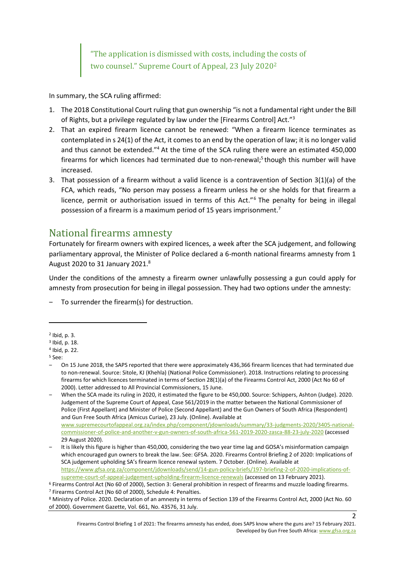"The application is dismissed with costs, including the costs of two counsel." Supreme Court of Appeal, 23 July 2020<sup>2</sup>

In summary, the SCA ruling affirmed:

- 1. The 2018 Constitutional Court ruling that gun ownership "is not a fundamental right under the Bill of Rights, but a privilege regulated by law under the [Firearms Control] Act."<sup>3</sup>
- 2. That an expired firearm licence cannot be renewed: "When a firearm licence terminates as contemplated in s 24(1) of the Act, it comes to an end by the operation of law; it is no longer valid and thus cannot be extended."<sup>4</sup> At the time of the SCA ruling there were an estimated 450,000 firearms for which licences had terminated due to non-renewal;<sup>5</sup> though this number will have increased.
- 3. That possession of a firearm without a valid licence is a contravention of Section 3(1)(a) of the FCA, which reads, "No person may possess a firearm unless he or she holds for that firearm a licence, permit or authorisation issued in terms of this Act."<sup>6</sup> The penalty for being in illegal possession of a firearm is a maximum period of 15 years imprisonment.<sup>7</sup>

## National firearms amnesty

Fortunately for firearm owners with expired licences, a week after the SCA judgement, and following parliamentary approval, the Minister of Police declared a 6-month national firearms amnesty from 1 August 2020 to 31 January 2021.<sup>8</sup>

Under the conditions of the amnesty a firearm owner unlawfully possessing a gun could apply for amnesty from prosecution for being in illegal possession. They had two options under the amnesty:

‒ To surrender the firearm(s) for destruction.

‒ When the SCA made its ruling in 2020, it estimated the figure to be 450,000. Source: Schippers, Ashton (Judge). 2020. Judgement of the Supreme Court of Appeal, Case 561/2019 in the matter between the National Commissioner of Police (First Appellant) and Minister of Police (Second Appellant) and the Gun Owners of South Africa (Respondent) and Gun Free South Africa (Amicus Curiae), 23 July. (Online). Available at [www.supremecourtofappeal.org.za/index.php/component/jdownloads/summary/33-judgments-2020/3405-national](http://www.supremecourtofappeal.org.za/index.php/component/jdownloads/summary/33-judgments-2020/3405-national-commissioner-of-police-and-another-v-gun-owners-of-south-africa-561-2019-2020-zasca-88-23-july-2020)[commissioner-of-police-and-another-v-gun-owners-of-south-africa-561-2019-2020-zasca-88-23-july-2020](http://www.supremecourtofappeal.org.za/index.php/component/jdownloads/summary/33-judgments-2020/3405-national-commissioner-of-police-and-another-v-gun-owners-of-south-africa-561-2019-2020-zasca-88-23-july-2020) (accessed 29 August 2020).

It is likely this figure is higher than 450,000, considering the two year time lag and GOSA's misinformation campaign which encouraged gun owners to break the law. See: GFSA. 2020. Firearms Control Briefing 2 of 2020: Implications of SCA judgement upholding SA's firearm licence renewal system. 7 October. (Online). Available at [https://www.gfsa.org.za/component/jdownloads/send/14-gun-policy-briefs/197-briefing-2-of-2020-implications-of](https://www.gfsa.org.za/component/jdownloads/send/14-gun-policy-briefs/197-briefing-2-of-2020-implications-of-supreme-court-of-appeal-judgement-upholding-firearm-licence-renewals)[supreme-court-of-appeal-judgement-upholding-firearm-licence-renewals](https://www.gfsa.org.za/component/jdownloads/send/14-gun-policy-briefs/197-briefing-2-of-2020-implications-of-supreme-court-of-appeal-judgement-upholding-firearm-licence-renewals) (accessed on 13 February 2021).

<sup>2</sup> Ibid, p. 3.

<sup>3</sup> Ibid, p. 18.

<sup>4</sup> Ibid, p. 22.

<sup>5</sup> See:

<sup>‒</sup> On 15 June 2018, the SAPS reported that there were approximately 436,366 firearm licences that had terminated due to non-renewal. Source: Sitole, KJ (Khehla) (National Police Commissioner). 2018. Instructions relating to processing firearms for which licences terminated in terms of Section 28(1)(a) of the Firearms Control Act, 2000 (Act No 60 of 2000). Letter addressed to All Provincial Commissioners, 15 June.

<sup>6</sup> Firearms Control Act (No 60 of 2000), Section 3: General prohibition in respect of firearms and muzzle loading firearms. <sup>7</sup> Firearms Control Act (No 60 of 2000), Schedule 4: Penalties.

<sup>8</sup> Ministry of Police. 2020. Declaration of an amnesty in terms of Section 139 of the Firearms Control Act, 2000 (Act No. 60 of 2000). Government Gazette, Vol. 661, No. 43576, 31 July.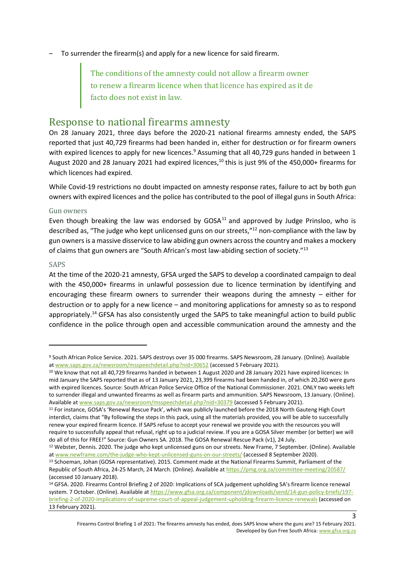‒ To surrender the firearm(s) and apply for a new licence for said firearm.

The conditions of the amnesty could not allow a firearm owner to renew a firearm licence when that licence has expired as it de facto does not exist in law.

## Response to national firearms amnesty

On 28 January 2021, three days before the 2020-21 national firearms amnesty ended, the SAPS reported that just 40,729 firearms had been handed in, either for destruction or for firearm owners with expired licences to apply for new licences.<sup>9</sup> Assuming that all 40,729 guns handed in between 1 August 2020 and 28 January 2021 had expired licences,<sup>10</sup> this is just 9% of the 450,000+ firearms for which licences had expired.

While Covid-19 restrictions no doubt impacted on amnesty response rates, failure to act by both gun owners with expired licences and the police has contributed to the pool of illegal guns in South Africa:

#### Gun owners

Even though breaking the law was endorsed by  $GOSA<sup>11</sup>$  and approved by Judge Prinsloo, who is described as, "The judge who kept unlicensed guns on our streets,"<sup>12</sup> non-compliance with the law by gun owners is a massive disservice to law abiding gun owners across the country and makes a mockery of claims that gun owners are "South African's most law-abiding section of society."<sup>13</sup>

#### SAPS

At the time of the 2020-21 amnesty, GFSA urged the SAPS to develop a coordinated campaign to deal with the 450,000+ firearms in unlawful possession due to licence termination by identifying and encouraging these firearm owners to surrender their weapons during the amnesty – either for destruction or to apply for a new licence – and monitoring applications for amnesty so as to respond appropriately.<sup>14</sup> GFSA has also consistently urged the SAPS to take meaningful action to build public confidence in the police through open and accessible communication around the amnesty and the

Firearms Control Briefing 1 of 2021: The firearms amnesty has ended, does SAPS know where the guns are? 15 February 2021. Developed by Gun Free South Africa[: www.gfsa.org.za](http://www.gfsa.org.za/)

<sup>9</sup> South African Police Service. 2021. SAPS destroys over 35 000 firearms. SAPS Newsroom, 28 January. (Online). Available a[t www.saps.gov.za/newsroom/msspeechdetail.php?nid=30652](http://www.saps.gov.za/newsroom/msspeechdetail.php?nid=30652) (accessed 5 February 2021).

<sup>&</sup>lt;sup>10</sup> We know that not all 40,729 firearms handed in between 1 August 2020 and 28 January 2021 have expired licences: In mid January the SAPS reported that as of 13 January 2021, 23,399 firearms had been handed in, of which 20,260 were guns with expired licences. Source: South African Police Service Office of the National Commissioner. 2021. ONLY two weeks left to surrender illegal and unwanted firearms as well as firearm parts and ammunition. SAPS Newsroom, 13 January. (Online). Available a[t www.saps.gov.za/newsroom/msspeechdetail.php?nid=30379](http://www.saps.gov.za/newsroom/msspeechdetail.php?nid=30379) (accessed 5 February 2021).

<sup>11</sup> For instance, GOSA's 'Renewal Rescue Pack', which was publicly launched before the 2018 North Gauteng High Court interdict, claims that "By following the steps in this pack, using all the materials provided, you will be able to successfully renew your expired firearm licence. If SAPS refuse to accept your renewal we provide you with the resources you will require to successfully appeal that refusal, right up to a judicial review. If you are a GOSA Silver member (or better) we will do all of this for FREE!" Source: Gun Owners SA. 2018. The GOSA Renewal Rescue Pack (v1), 24 July.

<sup>&</sup>lt;sup>12</sup> Webster, Dennis. 2020. The judge who kept unlicensed guns on our streets. New Frame, 7 September. (Online). Available a[t www.newframe.com/the-judge-who-kept-unlicensed-guns-on-our-streets/](https://www.newframe.com/the-judge-who-kept-unlicensed-guns-on-our-streets/) (accessed 8 September 2020).

<sup>13</sup> Schoeman, Johan (GOSA representative). 2015. Comment made at the National Firearms Summit, Parliament of the Republic of South Africa, 24-25 March, 24 March. (Online). Available a[t https://pmg.org.za/committee-meeting/20587/](https://pmg.org.za/committee-meeting/20587/) (accessed 10 January 2018).

<sup>14</sup> GFSA. 2020. Firearms Control Briefing 2 of 2020: Implications of SCA judgement upholding SA's firearm licence renewal system. 7 October. (Online). Available a[t https://www.gfsa.org.za/component/jdownloads/send/14-gun-policy-briefs/197](https://www.gfsa.org.za/component/jdownloads/send/14-gun-policy-briefs/197-briefing-2-of-2020-implications-of-supreme-court-of-appeal-judgement-upholding-firearm-licence-renewals) [briefing-2-of-2020-implications-of-supreme-court-of-appeal-judgement-upholding-firearm-licence-renewals](https://www.gfsa.org.za/component/jdownloads/send/14-gun-policy-briefs/197-briefing-2-of-2020-implications-of-supreme-court-of-appeal-judgement-upholding-firearm-licence-renewals) (accessed on 13 February 2021).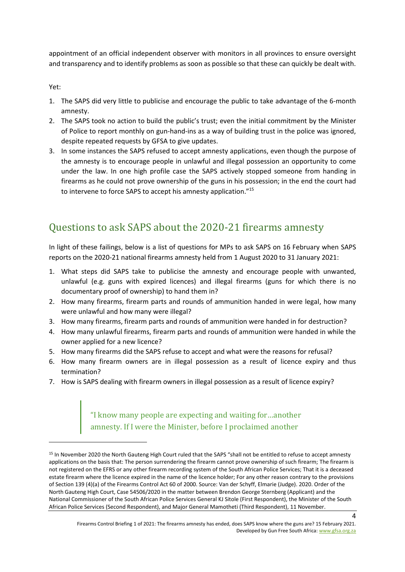appointment of an official independent observer with monitors in all provinces to ensure oversight and transparency and to identify problems as soon as possible so that these can quickly be dealt with.

Yet:

- 1. The SAPS did very little to publicise and encourage the public to take advantage of the 6-month amnesty.
- 2. The SAPS took no action to build the public's trust; even the initial commitment by the Minister of Police to report monthly on gun-hand-ins as a way of building trust in the police was ignored, despite repeated requests by GFSA to give updates.
- 3. In some instances the SAPS refused to accept amnesty applications, even though the purpose of the amnesty is to encourage people in unlawful and illegal possession an opportunity to come under the law. In one high profile case the SAPS actively stopped someone from handing in firearms as he could not prove ownership of the guns in his possession; in the end the court had to intervene to force SAPS to accept his amnesty application."<sup>15</sup>

# Questions to ask SAPS about the 2020-21 firearms amnesty

In light of these failings, below is a list of questions for MPs to ask SAPS on 16 February when SAPS reports on the 2020-21 national firearms amnesty held from 1 August 2020 to 31 January 2021:

- 1. What steps did SAPS take to publicise the amnesty and encourage people with unwanted, unlawful (e.g. guns with expired licences) and illegal firearms (guns for which there is no documentary proof of ownership) to hand them in?
- 2. How many firearms, firearm parts and rounds of ammunition handed in were legal, how many were unlawful and how many were illegal?
- 3. How many firearms, firearm parts and rounds of ammunition were handed in for destruction?
- 4. How many unlawful firearms, firearm parts and rounds of ammunition were handed in while the owner applied for a new licence?
- 5. How many firearms did the SAPS refuse to accept and what were the reasons for refusal?
- 6. How many firearm owners are in illegal possession as a result of licence expiry and thus termination?
- 7. How is SAPS dealing with firearm owners in illegal possession as a result of licence expiry?

"I know many people are expecting and waiting for…another amnesty. If I were the Minister, before I proclaimed another

<sup>&</sup>lt;sup>15</sup> In November 2020 the North Gauteng High Court ruled that the SAPS "shall not be entitled to refuse to accept amnesty applications on the basis that: The person surrendering the firearm cannot prove ownership of such firearm; The firearm is not registered on the EFRS or any other firearm recording system of the South African Police Services; That it is a deceased estate firearm where the licence expired in the name of the licence holder; For any other reason contrary to the provisions of Section 139 (4)(a) of the Firearms Control Act 60 of 2000. Source: Van der Schyff, Elmarie (Judge). 2020. Order of the North Gauteng High Court, Case 54506/2020 in the matter between Brendon George Sternberg (Applicant) and the National Commissioner of the South African Police Services General KJ Sitole (First Respondent), the Minister of the South African Police Services (Second Respondent), and Major General Mamotheti (Third Respondent), 11 November.